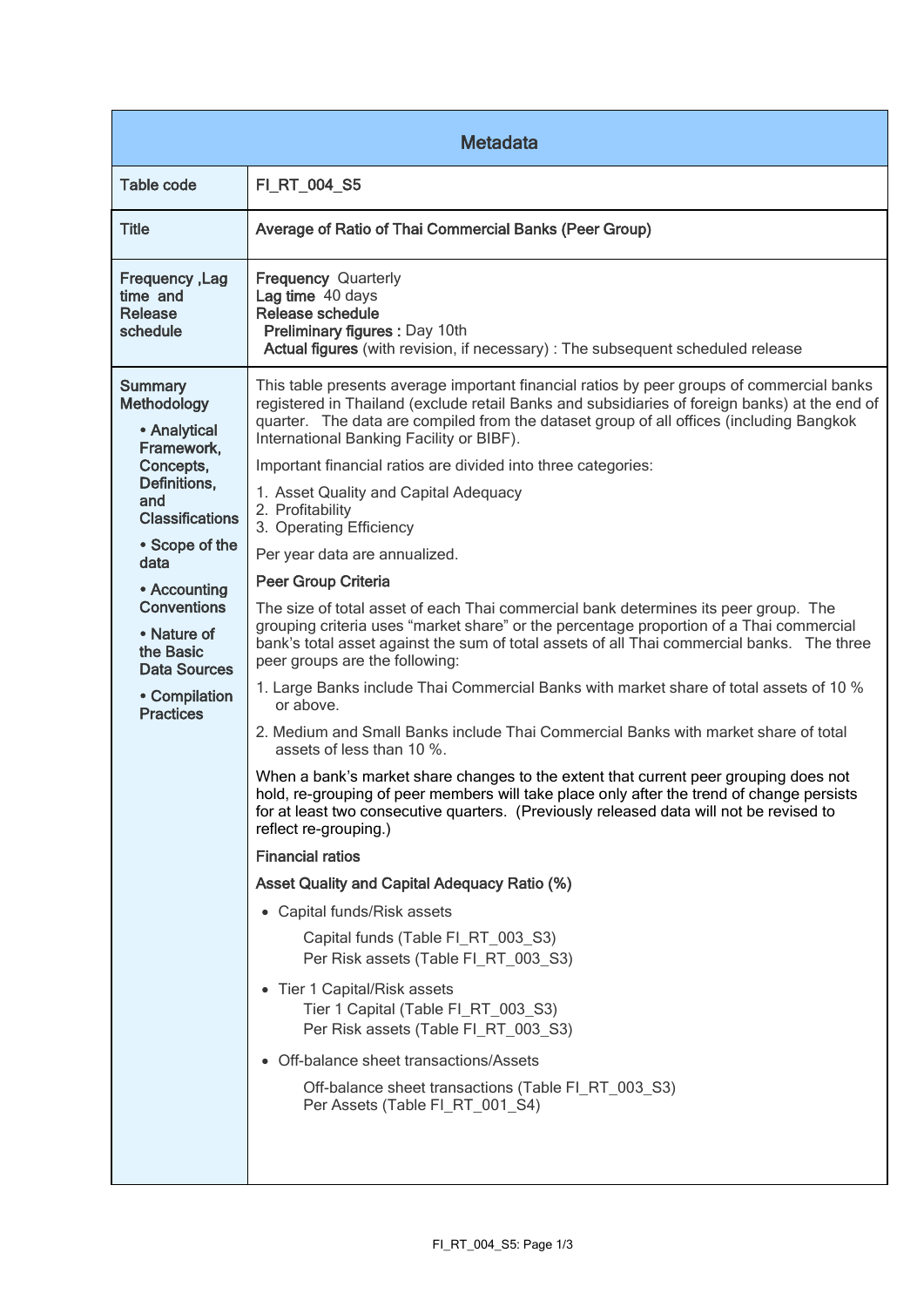| <b>Metadata</b>                                                                                                                                                                                                                                                                          |                                                                                                                                                                                                                                                                                                                                                                                                                                                                                                                                                                                                                                                                                                                                                                                                                                                                                                                                                                                                                                                                                                                                                                                                                                                                                                                                                                                                                                                                                                                                                                                                                                                                                                                                                                                                                                                                       |  |
|------------------------------------------------------------------------------------------------------------------------------------------------------------------------------------------------------------------------------------------------------------------------------------------|-----------------------------------------------------------------------------------------------------------------------------------------------------------------------------------------------------------------------------------------------------------------------------------------------------------------------------------------------------------------------------------------------------------------------------------------------------------------------------------------------------------------------------------------------------------------------------------------------------------------------------------------------------------------------------------------------------------------------------------------------------------------------------------------------------------------------------------------------------------------------------------------------------------------------------------------------------------------------------------------------------------------------------------------------------------------------------------------------------------------------------------------------------------------------------------------------------------------------------------------------------------------------------------------------------------------------------------------------------------------------------------------------------------------------------------------------------------------------------------------------------------------------------------------------------------------------------------------------------------------------------------------------------------------------------------------------------------------------------------------------------------------------------------------------------------------------------------------------------------------------|--|
| <b>Table code</b>                                                                                                                                                                                                                                                                        | FI_RT_004_S5                                                                                                                                                                                                                                                                                                                                                                                                                                                                                                                                                                                                                                                                                                                                                                                                                                                                                                                                                                                                                                                                                                                                                                                                                                                                                                                                                                                                                                                                                                                                                                                                                                                                                                                                                                                                                                                          |  |
| <b>Title</b>                                                                                                                                                                                                                                                                             | Average of Ratio of Thai Commercial Banks (Peer Group)                                                                                                                                                                                                                                                                                                                                                                                                                                                                                                                                                                                                                                                                                                                                                                                                                                                                                                                                                                                                                                                                                                                                                                                                                                                                                                                                                                                                                                                                                                                                                                                                                                                                                                                                                                                                                |  |
| <b>Frequency, Lag</b><br>time and<br>Release<br>schedule                                                                                                                                                                                                                                 | <b>Frequency Quarterly</b><br>Lag time 40 days<br>Release schedule<br>Preliminary figures : Day 10th<br>Actual figures (with revision, if necessary) : The subsequent scheduled release                                                                                                                                                                                                                                                                                                                                                                                                                                                                                                                                                                                                                                                                                                                                                                                                                                                                                                                                                                                                                                                                                                                                                                                                                                                                                                                                                                                                                                                                                                                                                                                                                                                                               |  |
| <b>Summary</b><br><b>Methodology</b><br>• Analytical<br>Framework,<br>Concepts,<br>Definitions,<br>and<br><b>Classifications</b><br>• Scope of the<br>data<br>• Accounting<br><b>Conventions</b><br>• Nature of<br>the Basic<br><b>Data Sources</b><br>• Compilation<br><b>Practices</b> | This table presents average important financial ratios by peer groups of commercial banks<br>registered in Thailand (exclude retail Banks and subsidiaries of foreign banks) at the end of<br>quarter. The data are compiled from the dataset group of all offices (including Bangkok<br>International Banking Facility or BIBF).<br>Important financial ratios are divided into three categories:<br>1. Asset Quality and Capital Adequacy<br>2. Profitability<br>3. Operating Efficiency<br>Per year data are annualized.<br>Peer Group Criteria<br>The size of total asset of each Thai commercial bank determines its peer group. The<br>grouping criteria uses "market share" or the percentage proportion of a Thai commercial<br>bank's total asset against the sum of total assets of all Thai commercial banks. The three<br>peer groups are the following:<br>1. Large Banks include Thai Commercial Banks with market share of total assets of 10 %<br>or above.<br>2. Medium and Small Banks include Thai Commercial Banks with market share of total<br>assets of less than 10 %.<br>When a bank's market share changes to the extent that current peer grouping does not<br>hold, re-grouping of peer members will take place only after the trend of change persists<br>for at least two consecutive quarters. (Previously released data will not be revised to<br>reflect re-grouping.)<br><b>Financial ratios</b><br><b>Asset Quality and Capital Adequacy Ratio (%)</b><br>• Capital funds/Risk assets<br>Capital funds (Table FI RT 003 S3)<br>Per Risk assets (Table FI_RT_003_S3)<br>• Tier 1 Capital/Risk assets<br>Tier 1 Capital (Table FI_RT_003_S3)<br>Per Risk assets (Table FI_RT_003_S3)<br>Off-balance sheet transactions/Assets<br>$\bullet$<br>Off-balance sheet transactions (Table FI_RT_003_S3)<br>Per Assets (Table FI_RT_001_S4) |  |
|                                                                                                                                                                                                                                                                                          |                                                                                                                                                                                                                                                                                                                                                                                                                                                                                                                                                                                                                                                                                                                                                                                                                                                                                                                                                                                                                                                                                                                                                                                                                                                                                                                                                                                                                                                                                                                                                                                                                                                                                                                                                                                                                                                                       |  |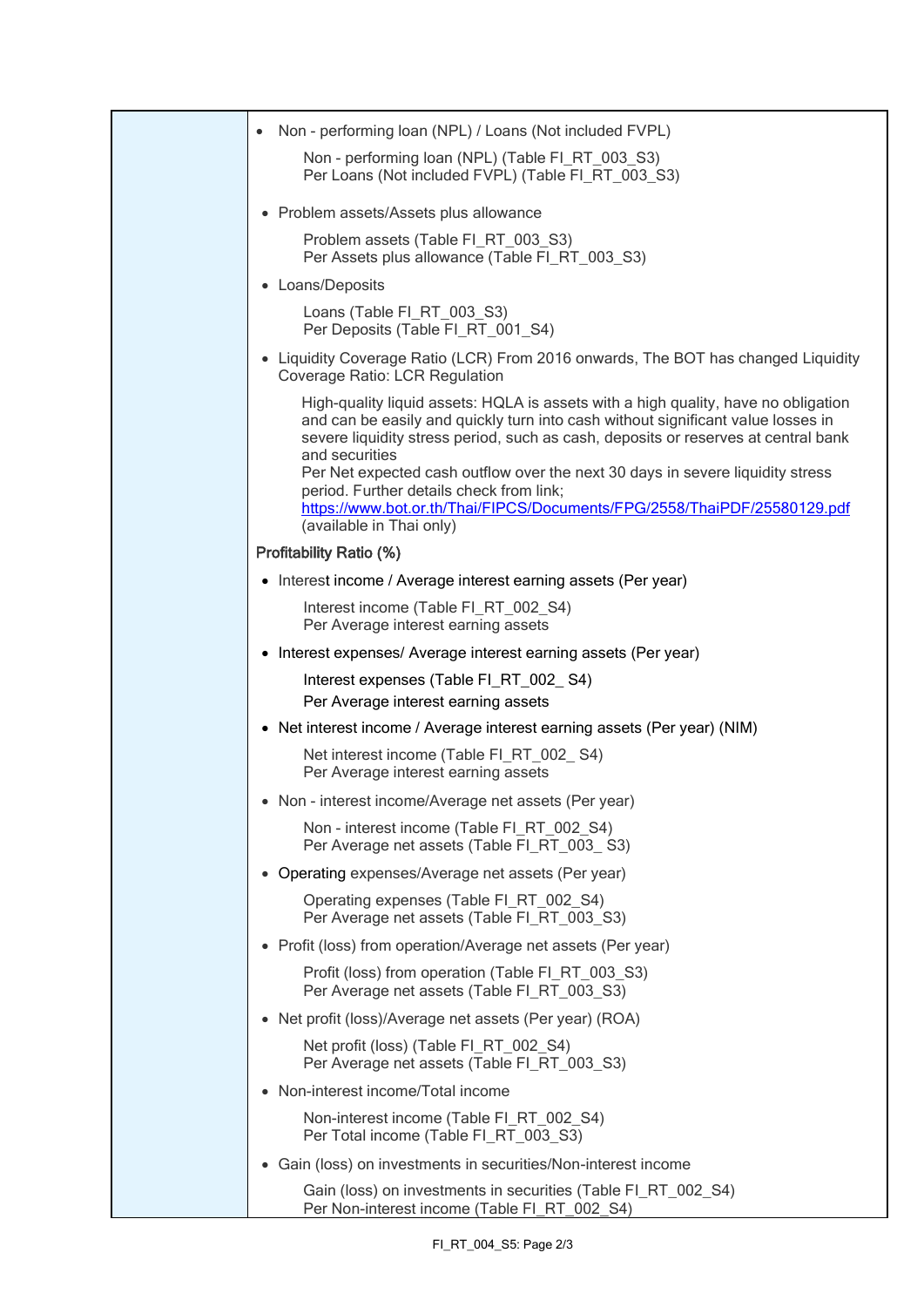| Non - performing loan (NPL) / Loans (Not included FVPL)                                                                                                                                                                                                                                                                                                                                                                                                                                                              |
|----------------------------------------------------------------------------------------------------------------------------------------------------------------------------------------------------------------------------------------------------------------------------------------------------------------------------------------------------------------------------------------------------------------------------------------------------------------------------------------------------------------------|
| Non - performing loan (NPL) (Table FI_RT_003_S3)<br>Per Loans (Not included FVPL) (Table FI_RT_003_S3)                                                                                                                                                                                                                                                                                                                                                                                                               |
| • Problem assets/Assets plus allowance                                                                                                                                                                                                                                                                                                                                                                                                                                                                               |
| Problem assets (Table FI_RT_003_S3)<br>Per Assets plus allowance (Table FI RT 003 S3)                                                                                                                                                                                                                                                                                                                                                                                                                                |
| • Loans/Deposits                                                                                                                                                                                                                                                                                                                                                                                                                                                                                                     |
| Loans (Table FI_RT_003_S3)<br>Per Deposits (Table FI RT 001 S4)                                                                                                                                                                                                                                                                                                                                                                                                                                                      |
| • Liquidity Coverage Ratio (LCR) From 2016 onwards, The BOT has changed Liquidity<br>Coverage Ratio: LCR Regulation                                                                                                                                                                                                                                                                                                                                                                                                  |
| High-quality liquid assets: HQLA is assets with a high quality, have no obligation<br>and can be easily and quickly turn into cash without significant value losses in<br>severe liquidity stress period, such as cash, deposits or reserves at central bank<br>and securities<br>Per Net expected cash outflow over the next 30 days in severe liquidity stress<br>period. Further details check from link;<br>https://www.bot.or.th/Thai/FIPCS/Documents/FPG/2558/ThaiPDF/25580129.pdf<br>(available in Thai only) |
| <b>Profitability Ratio (%)</b>                                                                                                                                                                                                                                                                                                                                                                                                                                                                                       |
| • Interest income / Average interest earning assets (Per year)                                                                                                                                                                                                                                                                                                                                                                                                                                                       |
| Interest income (Table FI_RT_002_S4)<br>Per Average interest earning assets                                                                                                                                                                                                                                                                                                                                                                                                                                          |
| • Interest expenses/ Average interest earning assets (Per year)                                                                                                                                                                                                                                                                                                                                                                                                                                                      |
| Interest expenses (Table FI_RT_002_S4)<br>Per Average interest earning assets                                                                                                                                                                                                                                                                                                                                                                                                                                        |
| • Net interest income / Average interest earning assets (Per year) (NIM)                                                                                                                                                                                                                                                                                                                                                                                                                                             |
| Net interest income (Table FI_RT_002_S4)<br>Per Average interest earning assets                                                                                                                                                                                                                                                                                                                                                                                                                                      |
| • Non - interest income/Average net assets (Per year)                                                                                                                                                                                                                                                                                                                                                                                                                                                                |
| Non - interest income (Table FI_RT_002_S4)<br>Per Average net assets (Table FI_RT_003_S3)                                                                                                                                                                                                                                                                                                                                                                                                                            |
| • Operating expenses/Average net assets (Per year)                                                                                                                                                                                                                                                                                                                                                                                                                                                                   |
| Operating expenses (Table FI RT 002 S4)<br>Per Average net assets (Table FI RT 003 S3)                                                                                                                                                                                                                                                                                                                                                                                                                               |
| • Profit (loss) from operation/Average net assets (Per year)                                                                                                                                                                                                                                                                                                                                                                                                                                                         |
| Profit (loss) from operation (Table FI_RT_003_S3)<br>Per Average net assets (Table FI_RT_003_S3)                                                                                                                                                                                                                                                                                                                                                                                                                     |
| • Net profit (loss)/Average net assets (Per year) (ROA)                                                                                                                                                                                                                                                                                                                                                                                                                                                              |
| Net profit (loss) (Table FI_RT_002_S4)<br>Per Average net assets (Table FI_RT_003_S3)                                                                                                                                                                                                                                                                                                                                                                                                                                |
| • Non-interest income/Total income                                                                                                                                                                                                                                                                                                                                                                                                                                                                                   |
| Non-interest income (Table FI_RT_002_S4)<br>Per Total income (Table FI_RT_003_S3)                                                                                                                                                                                                                                                                                                                                                                                                                                    |
| • Gain (loss) on investments in securities/Non-interest income                                                                                                                                                                                                                                                                                                                                                                                                                                                       |
| Gain (loss) on investments in securities (Table FI_RT_002_S4)<br>Per Non-interest income (Table FI_RT_002_S4)                                                                                                                                                                                                                                                                                                                                                                                                        |